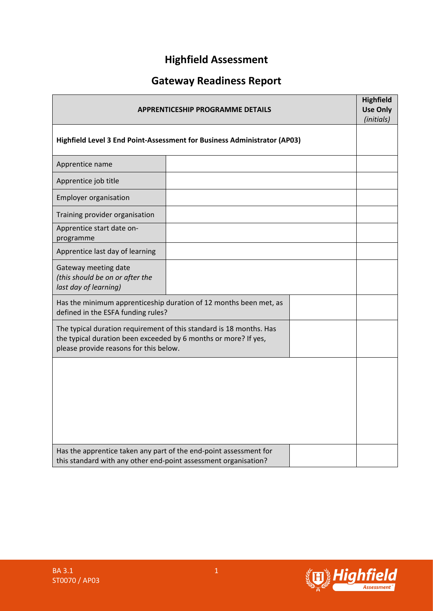# **Highfield Assessment**

# **Gateway Readiness Report**

| <b>APPRENTICESHIP PROGRAMME DETAILS</b><br>Highfield Level 3 End Point-Assessment for Business Administrator (AP03)                  |                                                                     |  | <b>Highfield</b><br><b>Use Only</b><br>(initials) |
|--------------------------------------------------------------------------------------------------------------------------------------|---------------------------------------------------------------------|--|---------------------------------------------------|
|                                                                                                                                      |                                                                     |  |                                                   |
| Apprentice name                                                                                                                      |                                                                     |  |                                                   |
| Apprentice job title                                                                                                                 |                                                                     |  |                                                   |
| <b>Employer organisation</b>                                                                                                         |                                                                     |  |                                                   |
| Training provider organisation                                                                                                       |                                                                     |  |                                                   |
| Apprentice start date on-<br>programme                                                                                               |                                                                     |  |                                                   |
| Apprentice last day of learning                                                                                                      |                                                                     |  |                                                   |
| Gateway meeting date<br>(this should be on or after the<br>last day of learning)                                                     |                                                                     |  |                                                   |
| defined in the ESFA funding rules?                                                                                                   | Has the minimum apprenticeship duration of 12 months been met, as   |  |                                                   |
| the typical duration been exceeded by 6 months or more? If yes,<br>please provide reasons for this below.                            | The typical duration requirement of this standard is 18 months. Has |  |                                                   |
|                                                                                                                                      |                                                                     |  |                                                   |
| Has the apprentice taken any part of the end-point assessment for<br>this standard with any other end-point assessment organisation? |                                                                     |  |                                                   |

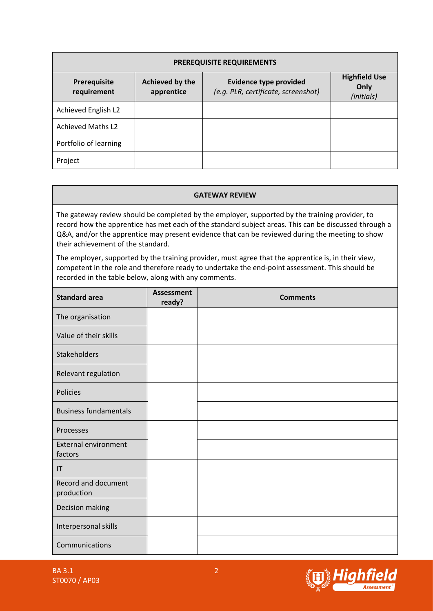| <b>PREREQUISITE REQUIREMENTS</b> |                               |                                                                      |                                            |  |  |  |
|----------------------------------|-------------------------------|----------------------------------------------------------------------|--------------------------------------------|--|--|--|
| Prerequisite<br>requirement      | Achieved by the<br>apprentice | <b>Evidence type provided</b><br>(e.g. PLR, certificate, screenshot) | <b>Highfield Use</b><br>Only<br>(initials) |  |  |  |
| Achieved English L2              |                               |                                                                      |                                            |  |  |  |
| <b>Achieved Maths L2</b>         |                               |                                                                      |                                            |  |  |  |
| Portfolio of learning            |                               |                                                                      |                                            |  |  |  |
| Project                          |                               |                                                                      |                                            |  |  |  |

#### **GATEWAY REVIEW**

The gateway review should be completed by the employer, supported by the training provider, to record how the apprentice has met each of the standard subject areas. This can be discussed through a Q&A, and/or the apprentice may present evidence that can be reviewed during the meeting to show their achievement of the standard.

The employer, supported by the training provider, must agree that the apprentice is, in their view, competent in the role and therefore ready to undertake the end-point assessment. This should be recorded in the table below, along with any comments.

| <b>Standard area</b>                   | <b>Assessment</b><br>ready? | <b>Comments</b> |
|----------------------------------------|-----------------------------|-----------------|
| The organisation                       |                             |                 |
| Value of their skills                  |                             |                 |
| Stakeholders                           |                             |                 |
| Relevant regulation                    |                             |                 |
| Policies                               |                             |                 |
| <b>Business fundamentals</b>           |                             |                 |
| Processes                              |                             |                 |
| <b>External environment</b><br>factors |                             |                 |
| T                                      |                             |                 |
| Record and document<br>production      |                             |                 |
| Decision making                        |                             |                 |
| Interpersonal skills                   |                             |                 |
| Communications                         |                             |                 |

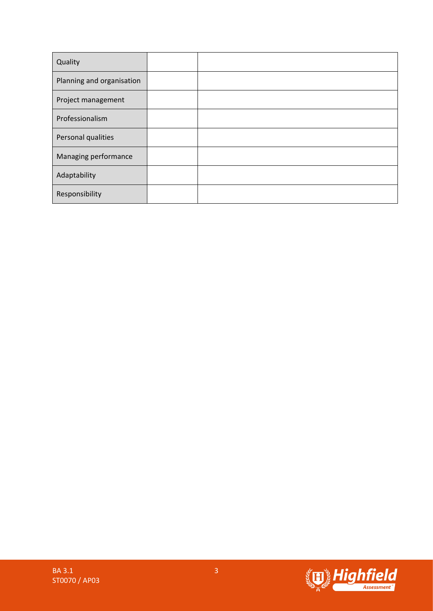| Quality                   |  |
|---------------------------|--|
| Planning and organisation |  |
| Project management        |  |
| Professionalism           |  |
| Personal qualities        |  |
| Managing performance      |  |
| Adaptability              |  |
| Responsibility            |  |